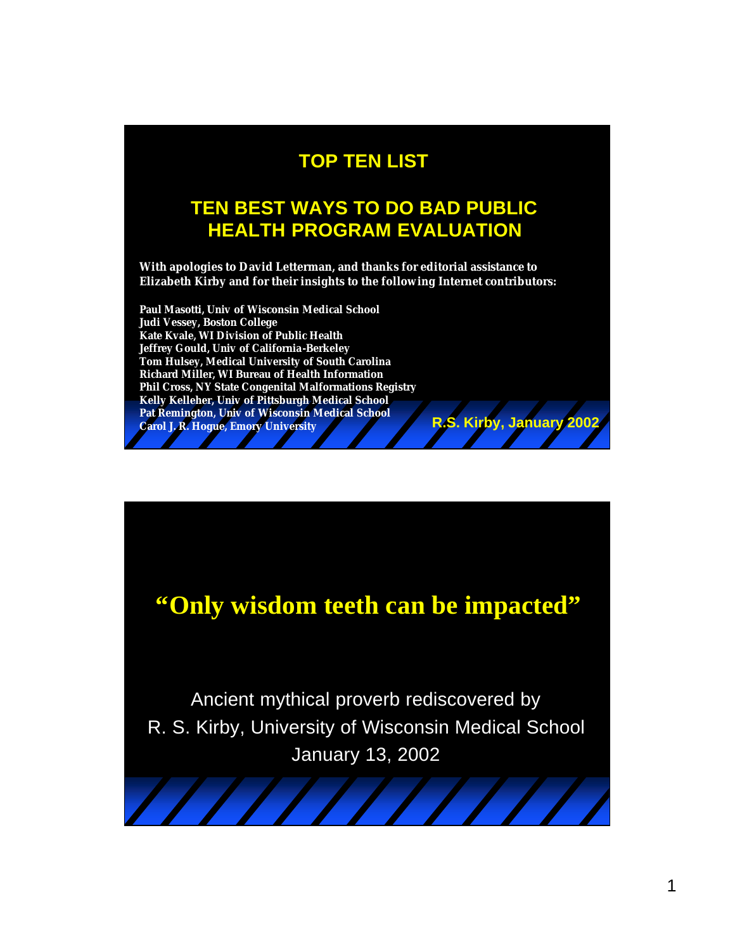#### **TOP TEN LIST**

#### **TEN BEST WAYS TO DO BAD PUBLIC HEALTH PROGRAM EVALUATION**

**With apologies to David Letterman, and thanks for editorial assistance to Elizabeth Kirby and for their insights to the following Internet contributors:** 

**Paul Masotti, Univ of Wisconsin Medical School Judi Vessey, Boston College Kate Kvale, WI Division of Public Health Jeffrey Gould, Univ of California-Berkeley Tom Hulsey, Medical University of South Carolina Richard Miller, WI Bureau of Health Information Phil Cross, NY State Congenital Malformations Registry Kelly Kelleher, Univ of Pittsburgh Medical School Pat Remington, Univ of Wisconsin Medical School Carol J. R. Hogue, Emory University R.S. Kirby, January 2002**



# **"Only wisdom teeth can be impacted"**

Ancient mythical proverb rediscovered by R. S. Kirby, University of Wisconsin Medical School January 13, 2002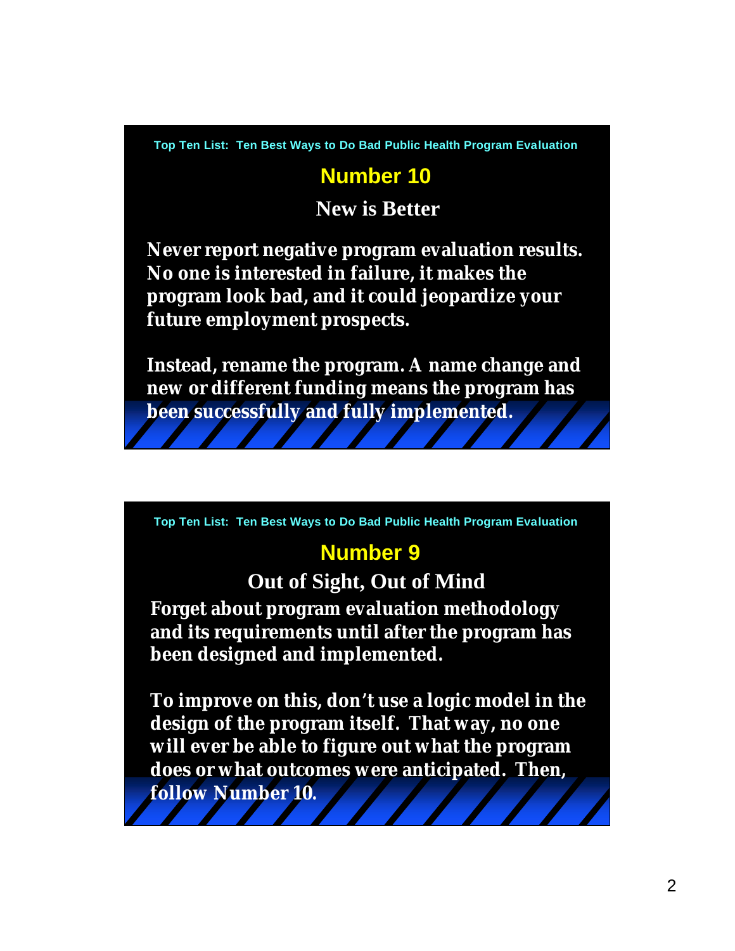#### **Number 10**

**New is Better**

**Never report negative program evaluation results. No one is interested in failure, it makes the program look bad, and it could jeopardize your future employment prospects.**

**Instead, rename the program. A name change and new or different funding means the program has been successfully and fully implemented.** 

**Top Ten List: Ten Best Ways to Do Bad Public Health Program Evaluation**

#### **Number 9**

**Out of Sight, Out of Mind**

**Forget about program evaluation methodology and its requirements until after the program has been designed and implemented.** 

**To improve on this, don't use a logic model in the design of the program itself. That way, no one will ever be able to figure out what the program does or what outcomes were anticipated. Then, follow Number 10.**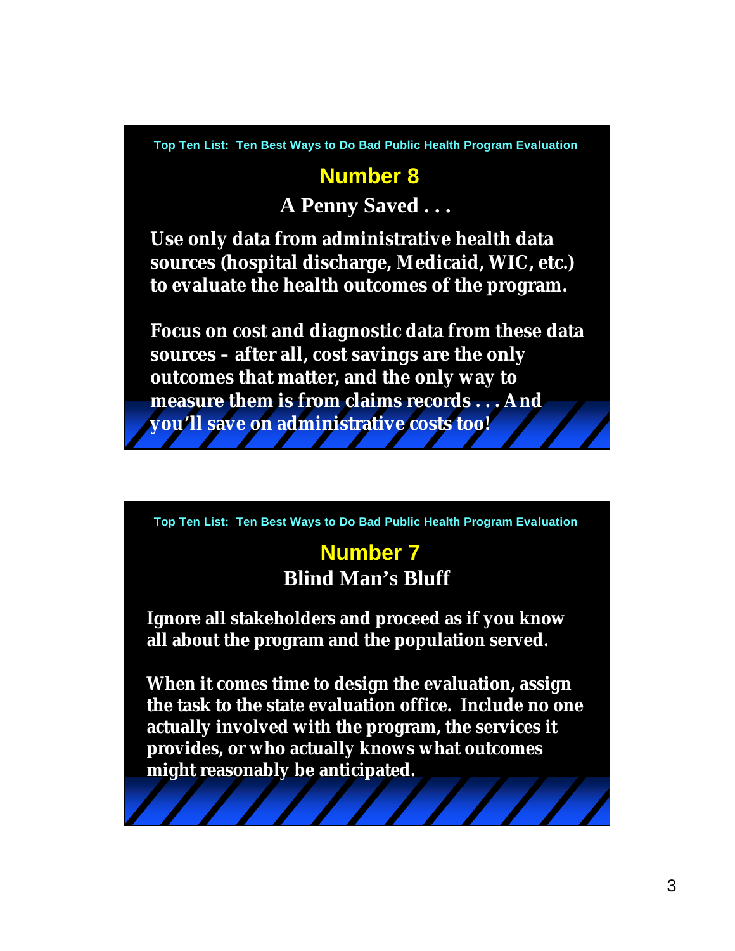## **Number 8 A Penny Saved . . .**

**Use only data from administrative health data sources (hospital discharge, Medicaid, WIC, etc.) to evaluate the health outcomes of the program.**

**Focus on cost and diagnostic data from these data sources – after all, cost savings are the only outcomes that matter, and the only way to measure them is from claims records . . . And you'll save on administrative costs too!**

**Top Ten List: Ten Best Ways to Do Bad Public Health Program Evaluation**

#### **Number 7 Blind Man's Bluff**

**Ignore all stakeholders and proceed as if you know all about the program and the population served.**

**When it comes time to design the evaluation, assign the task to the state evaluation office. Include no one actually involved with the program, the services it provides, or who actually knows what outcomes might reasonably be anticipated.**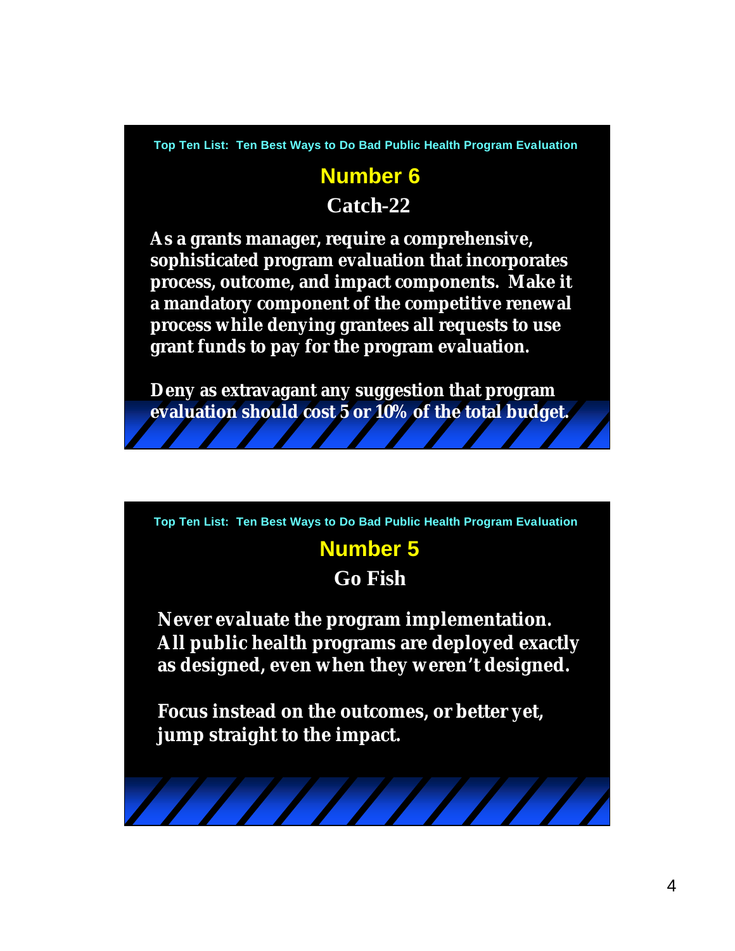### **Number 6 Catch-22**

**As a grants manager, require a comprehensive, sophisticated program evaluation that incorporates process, outcome, and impact components. Make it a mandatory component of the competitive renewal process while denying grantees all requests to use grant funds to pay for the program evaluation.** 

**Deny as extravagant any suggestion that program evaluation should cost 5 or 10% of the total budget.**

**Top Ten List: Ten Best Ways to Do Bad Public Health Program Evaluation**

### **Number 5**

**Go Fish**

**Never evaluate the program implementation. All public health programs are deployed exactly as designed, even when they weren't designed.**

**Focus instead on the outcomes, or better yet, jump straight to the impact.**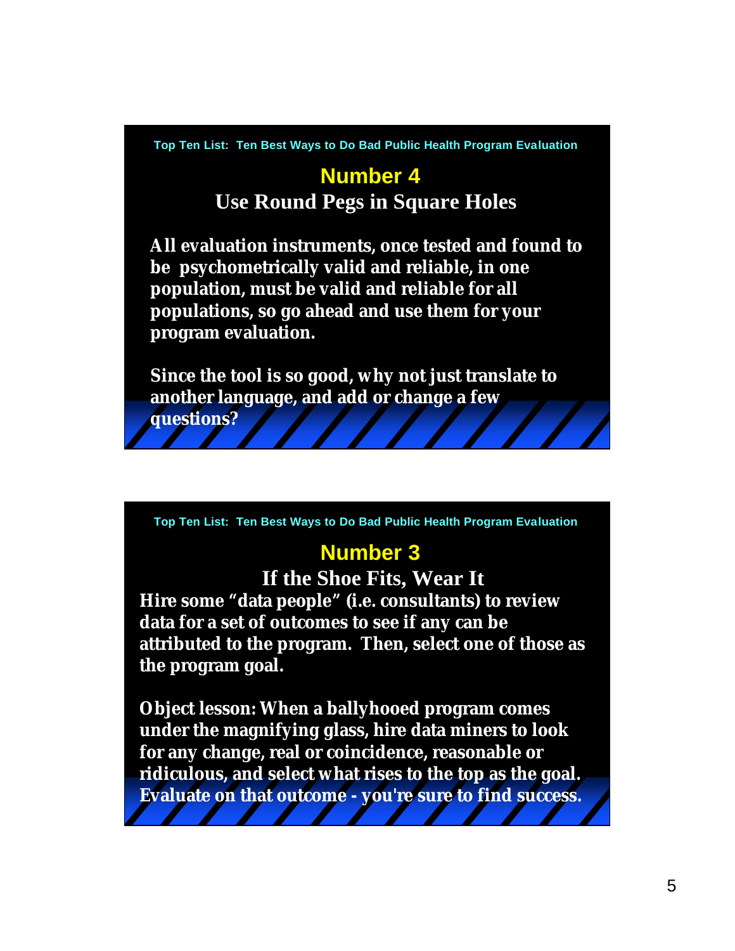## **Number 4 Use Round Pegs in Square Holes**

**All evaluation instruments, once tested and found to be psychometrically valid and reliable, in one population, must be valid and reliable for all populations, so go ahead and use them for your program evaluation.**

**Since the tool is so good, why not just translate to another language, and add or change a few** 

**questions?**

**Top Ten List: Ten Best Ways to Do Bad Public Health Program Evaluation**

#### **Number 3**

**Hire some "data people" (i.e. consultants) to review data for a set of outcomes to see if any can be attributed to the program. Then, select one of those as the program goal. If the Shoe Fits, Wear It**

**Object lesson: When a ballyhooed program comes under the magnifying glass, hire data miners to look for any change, real or coincidence, reasonable or ridiculous, and select what rises to the top as the goal. Evaluate on that outcome - you're sure to find success.**